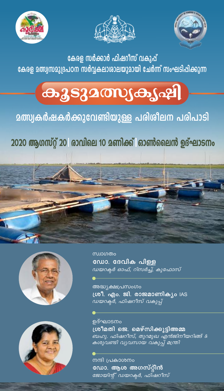





കേരള സർക്കാർ ഫിഷറീസ് വകുപ്പ് കേരള മത്സ്വസമുദ്രപഠന സർവ്വകലാശാലയുമായി ചേർന്ന് സംഘടിപ്പിക്കുന്ന

# $\alpha_3$ szamy $\alpha_3$

### **മത്സ്വകർഷകർക്കുവേണ്ടിയുള്ള പരിശീലന പരിപാടി**

2020 ആഗസ്റ്റ് 20 രാവിലെ 10 മണിക്ക് ഓൺലൈൻ ഉദ്ഘാടനം







സ്ഥാഗതം ഡോ. ദേവിക പിള്ള <u>ഡയറക്ടർ ഓഫ്, റിസർച്ച്, കുഫോസ്</u>

അദ്ധ്യക്ഷപ്രസംഗം ശ്രീ. എം. ജി. രാജമാണിക്യം IAS *ഡയറക്ടർ, ഫിഷറീസ് വകുപ്* 

ഉദ്ഘാടനം <u>ശ്രീമതി ജെ. മെഴ്സിക്കൂടിഅമ്മ</u> -<br>ബഹു. ഫിഷറീസ്, തുറമുഖ എൻജിനീയറിങ്ങ് &<br>കശുവണ്ടി വ്യവസായ വകുപ്പ് മന്ത്രി

നന്ദി പ്രകാശനം ഡോ. ആശ അഗസ്റ്റീൻ ജോയിന്റ് ഡയറക്ടർ, ഫിഷറീസ്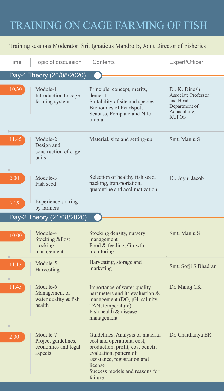### TRAINING ON CAGE FARMING OF FISH

#### Training sessions Moderator: Sri. Ignatious Mandro B, Joint Director of Fisheries

| Time                      | Topic of discussion                                               | Contents                                                                                                                                                                                                             | Expert/Officer                                                                                            |
|---------------------------|-------------------------------------------------------------------|----------------------------------------------------------------------------------------------------------------------------------------------------------------------------------------------------------------------|-----------------------------------------------------------------------------------------------------------|
| Day-1 Theory (20/08/2020) |                                                                   |                                                                                                                                                                                                                      |                                                                                                           |
| 10.30                     | Module-1<br>Introduction to cage<br>farming system                | Principle, concept, merits,<br>demerits.<br>Suitability of site and species<br>Bionomics of Pearlspot,<br>Seabass, Pompano and Nile<br>tilapia.                                                                      | Dr. K. Dinesh,<br><b>Associate Professor</b><br>and Head<br>Department of<br>Aquaculture,<br><b>KUFOS</b> |
| 11.45                     | Module-2<br>Design and<br>construction of cage<br>units           | Material, size and setting-up                                                                                                                                                                                        | Smt. Manju S                                                                                              |
| 2.00                      | Module-3<br>Fish seed                                             | Selection of healthy fish seed,<br>packing, transportation,<br>quarantine and acclimatization.                                                                                                                       | Dr. Joyni Jacob                                                                                           |
| 3.15                      | Experience sharing<br>by farmers                                  |                                                                                                                                                                                                                      |                                                                                                           |
| Day-2 Theory (21/08/2020) |                                                                   |                                                                                                                                                                                                                      |                                                                                                           |
| 10.00                     | Module-4<br><b>Stocking &amp;Post</b><br>stocking<br>management   | Stocking density, nursery<br>management<br>Food & feeding, Growth<br>monitoring                                                                                                                                      | Smt. Manju S                                                                                              |
| 11.15                     | Module-5<br>Harvesting                                            | Harvesting, storage and<br>marketing                                                                                                                                                                                 | Smt. Sofji S Bhadran                                                                                      |
| 11.45                     | Module-6<br>Management of<br>water quality & fish<br>health       | Importance of water quality<br>parameters and its evaluation &<br>management (DO, pH, salinity,<br>TAN, temperature)<br>Fish health & disease<br>management                                                          | Dr. Manoj CK                                                                                              |
| 2.00                      | Module-7<br>Project guidelines,<br>economics and legal<br>aspects | Guidelines, Analysis of material<br>cost and operational cost,<br>production, profit, cost benefit<br>evaluation, pattern of<br>assistance, registration and<br>license<br>Success models and reasons for<br>failure | Dr. Chaithanya ER                                                                                         |